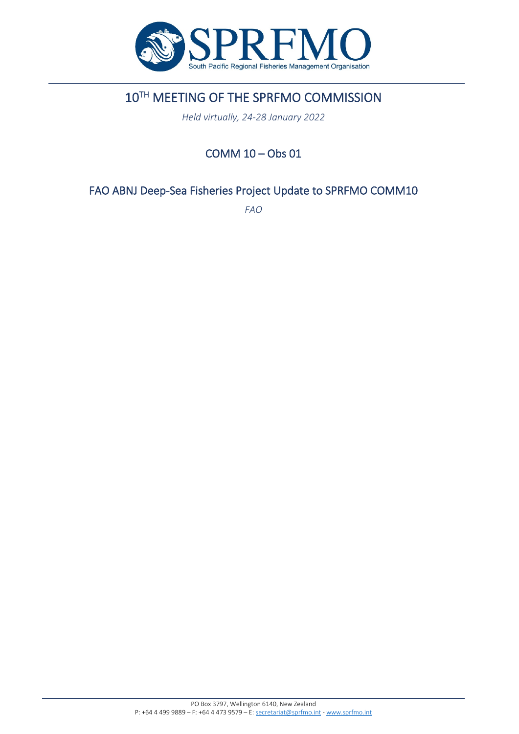

# 10TH MEETING OF THE SPRFMO COMMISSION

*Held virtually, 24-28 January 2022*

## COMM 10 – Obs 01

### FAO ABNJ Deep-Sea Fisheries Project Update to SPRFMO COMM10

*FAO*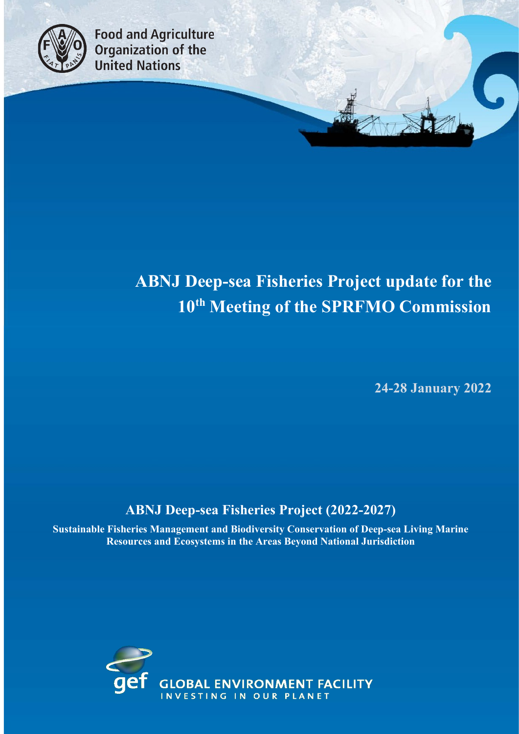

**Food and Agriculture Organization of the United Nations** 

# **ABNJ Deep-sea Fisheries Project update for the 10th Meeting of the SPRFMO Commission**

 **24-28 January 2022**

## **ABNJ Deep-sea Fisheries Project (2022-2027)**

**Sustainable Fisheries Management and Biodiversity Conservation of Deep-sea Living Marine Resources and Ecosystems in the Areas Beyond National Jurisdiction**

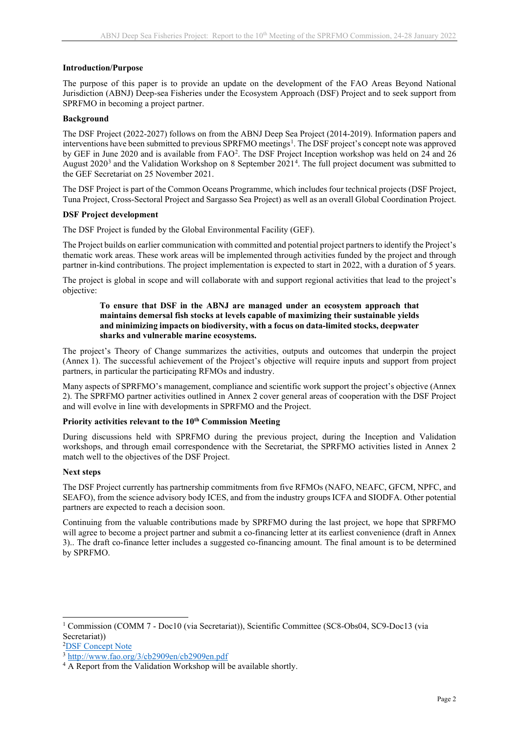#### **Introduction/Purpose**

The purpose of this paper is to provide an update on the development of the FAO Areas Beyond National Jurisdiction (ABNJ) Deep-sea Fisheries under the Ecosystem Approach (DSF) Project and to seek support from SPRFMO in becoming a project partner.

#### **Background**

The DSF Project (2022-2027) follows on from the ABNJ Deep Sea Project (2014-2019). Information papers and interventions have been submitted to previous SPRFMO meetings<sup>[1](#page-2-0)</sup>. The DSF project's concept note was approved by GEF in June [2](#page-2-1)020 and is available from FAO<sup>2</sup>. The DSF Project Inception workshop was held on 24 and 26 August 2020<sup>[3](#page-2-2)</sup> and the Validation Workshop on 8 September 2021<sup>[4](#page-2-3)</sup>. The full project document was submitted to the GEF Secretariat on 25 November 2021.

The DSF Project is part of the Common Oceans Programme, which includes four technical projects (DSF Project, Tuna Project, Cross-Sectoral Project and Sargasso Sea Project) as well as an overall Global Coordination Project.

#### **DSF Project development**

The DSF Project is funded by the Global Environmental Facility (GEF).

The Project builds on earlier communication with committed and potential project partners to identify the Project's thematic work areas. These work areas will be implemented through activities funded by the project and through partner in-kind contributions. The project implementation is expected to start in 2022, with a duration of 5 years.

The project is global in scope and will collaborate with and support regional activities that lead to the project's objective:

#### **To ensure that DSF in the ABNJ are managed under an ecosystem approach that maintains demersal fish stocks at levels capable of maximizing their sustainable yields and minimizing impacts on biodiversity, with a focus on data-limited stocks, deepwater sharks and vulnerable marine ecosystems.**

The project's Theory of Change summarizes the activities, outputs and outcomes that underpin the project (Annex 1). The successful achievement of the Project's objective will require inputs and support from project partners, in particular the participating RFMOs and industry.

Many aspects of SPRFMO's management, compliance and scientific work support the project's objective (Annex 2). The SPRFMO partner activities outlined in Annex 2 cover general areas of cooperation with the DSF Project and will evolve in line with developments in SPRFMO and the Project.

#### **Priority activities relevant to the 10th Commission Meeting**

During discussions held with SPRFMO during the previous project, during the Inception and Validation workshops, and through email correspondence with the Secretariat, the SPRFMO activities listed in Annex 2 match well to the objectives of the DSF Project.

#### **Next steps**

The DSF Project currently has partnership commitments from five RFMOs (NAFO, NEAFC, GFCM, NPFC, and SEAFO), from the science advisory body ICES, and from the industry groups ICFA and SIODFA. Other potential partners are expected to reach a decision soon.

Continuing from the valuable contributions made by SPRFMO during the last project, we hope that SPRFMO will agree to become a project partner and submit a co-financing letter at its earliest convenience (draft in Annex 3).. The draft co-finance letter includes a suggested co-financing amount. The final amount is to be determined by SPRFMO.

<sup>2</sup>[DSF Concept Note](about:blank)

<span id="page-2-0"></span><sup>1</sup> Commission (COMM 7 - Doc10 (via Secretariat)), Scientific Committee (SC8-Obs04, SC9-Doc13 (via Secretariat))

<span id="page-2-2"></span><span id="page-2-1"></span><sup>3</sup> [http://www.fao.org/3/cb2909en/cb2909en.pdf](about:blank)

<span id="page-2-3"></span><sup>&</sup>lt;sup>4</sup> A Report from the Validation Workshop will be available shortly.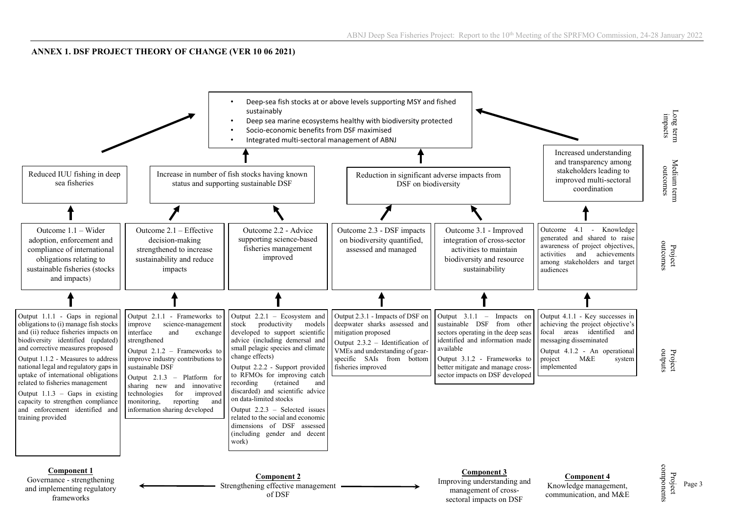#### **ANNEX 1. DSF PROJECT THEORY OF CHANGE (VER 10 06 2021)**

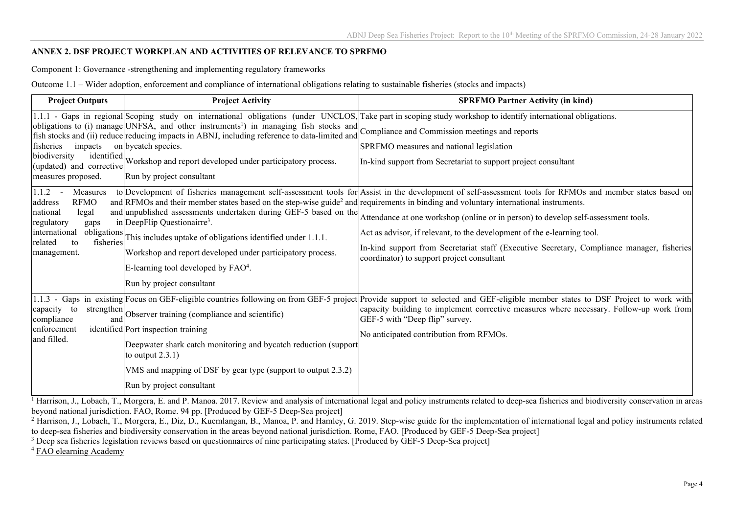#### **ANNEX 2. DSF PROJECT WORKPLAN AND ACTIVITIES OF RELEVANCE TO SPRFMO**

Component 1: Governance -strengthening and implementing regulatory frameworks

Outcome 1.1 – Wider adoption, enforcement and compliance of international obligations relating to sustainable fisheries (stocks and impacts)

| <b>Project Outputs</b>                                                                                                                                                  | <b>Project Activity</b>                                                                                                                                                                                                                                                                                                                                                                                                                                                             | <b>SPRFMO Partner Activity (in kind)</b>                                                                                                                                                                                                                                                                                                                                                                                                                               |
|-------------------------------------------------------------------------------------------------------------------------------------------------------------------------|-------------------------------------------------------------------------------------------------------------------------------------------------------------------------------------------------------------------------------------------------------------------------------------------------------------------------------------------------------------------------------------------------------------------------------------------------------------------------------------|------------------------------------------------------------------------------------------------------------------------------------------------------------------------------------------------------------------------------------------------------------------------------------------------------------------------------------------------------------------------------------------------------------------------------------------------------------------------|
| impacts<br>fisheries<br>biodiversity<br>(updated) and corrective<br>measures proposed.                                                                                  | obligations to (i) manage UNFSA, and other instruments <sup>1</sup> ) in managing fish stocks and<br>obligations to (i) manage UNFSA, and other instruments <sup>1</sup> ) in managing fish stocks and Compliance and Commission meetings and reports<br>fish stocks and (ii) reduce reducing impacts in ABNJ, including reference to data-limited and<br>on bycatch species.<br>identified Workshop and report developed under participatory process.<br>Run by project consultant | 1.1.1 - Gaps in regional Scoping study on international obligations (under UNCLOS, Take part in scoping study workshop to identify international obligations.<br>SPRFMO measures and national legislation<br>In-kind support from Secretariat to support project consultant                                                                                                                                                                                            |
| $1.1.2 -$<br>Measures<br><b>RFMO</b><br>address<br>national<br>legal<br>regulatory<br>gaps<br>obligations<br>international<br>fisheries<br>related<br>to<br>management. | and RFMOs and their member states based on the step-wise guide <sup>2</sup> and requirements in binding and voluntary international instruments.<br>and unpublished assessments undertaken during GEF-5 based on the<br>in DeepFlip Questionairre <sup>3</sup> .<br>This includes uptake of obligations identified under 1.1.1.<br>Workshop and report developed under participatory process.<br>E-learning tool developed by $FAO4$ .<br>Run by project consultant                 | to Development of fisheries management self-assessment tools for Assist in the development of self-assessment tools for RFMOs and member states based on<br>Attendance at one workshop (online or in person) to develop self-assessment tools.<br>Act as advisor, if relevant, to the development of the e-learning tool.<br>In-kind support from Secretariat staff (Executive Secretary, Compliance manager, fisheries)<br>coordinator) to support project consultant |
| strengthen<br>capacity<br>to<br>compliance<br>and<br>enforcement<br>and filled.                                                                                         | Observer training (compliance and scientific)<br>identified Port inspection training<br>Deepwater shark catch monitoring and bycatch reduction (support<br>to output $2.3.1$ )<br>VMS and mapping of DSF by gear type (support to output 2.3.2)<br>Run by project consultant                                                                                                                                                                                                        | 1.1.3 - Gaps in existing Focus on GEF-eligible countries following on from GEF-5 project Provide support to selected and GEF-eligible member states to DSF Project to work with<br>capacity building to implement corrective measures where necessary. Follow-up work from<br>GEF-5 with "Deep flip" survey.<br>No anticipated contribution from RFMOs.                                                                                                                |

 $\frac{1}{1}$  Harrison, J., Lobach, T., Morgera, E. and P. Manoa. 2017. Review and analysis of international legal and policy instruments related to deep-sea fisheries and biodiversity conservation in areas beyond national jurisdiction. FAO, Rome. 94 pp. [Produced by GEF-5 Deep-Sea project]

<sup>2</sup> Harrison, J., Lobach, T., Morgera, E., Diz, D., Kuemlangan, B., Manoa, P. and Hamley, G. 2019. Step-wise guide for the implementation of international legal and policy instruments related to deep-sea fisheries and biodiversity conservation in the areas beyond national jurisdiction. Rome, FAO. [Produced by GEF-5 Deep-Sea project]

<sup>3</sup> Deep sea fisheries legislation reviews based on questionnaires of nine participating states. [Produced by GEF-5 Deep-Sea project]

<sup>4</sup> [FAO elearning Academy](about:blank)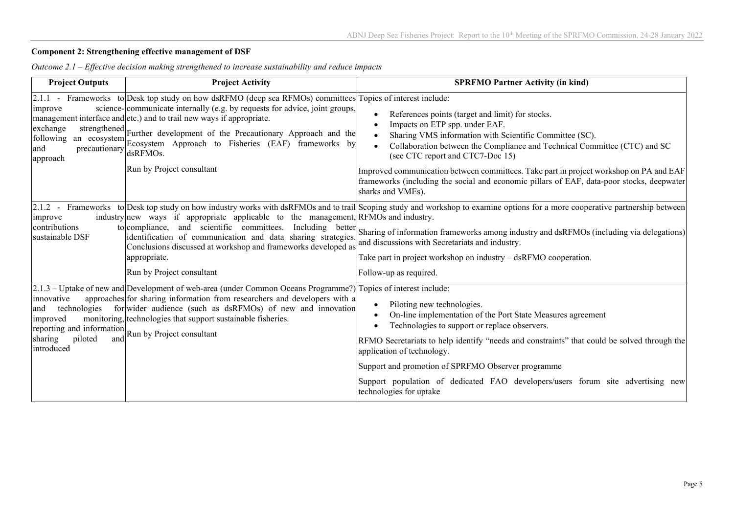#### **Component 2: Strengthening effective management of DSF**

| <b>Project Outputs</b>                                                                                         | <b>Project Activity</b>                                                                                                                                                                                                                                                                                                                                                                                                                                    | <b>SPRFMO Partner Activity (in kind)</b>                                                                                                                                                                                                                                                                                                                                                                                                                                   |
|----------------------------------------------------------------------------------------------------------------|------------------------------------------------------------------------------------------------------------------------------------------------------------------------------------------------------------------------------------------------------------------------------------------------------------------------------------------------------------------------------------------------------------------------------------------------------------|----------------------------------------------------------------------------------------------------------------------------------------------------------------------------------------------------------------------------------------------------------------------------------------------------------------------------------------------------------------------------------------------------------------------------------------------------------------------------|
| improve<br>exchange<br>following<br>precautionary<br>and<br>approach                                           | $[2.1.1$ - Frameworks to Desk top study on how dsRFMO (deep sea RFMOs) committees Topics of interest include:<br>science-communicate internally (e.g. by requests for advice, joint groups,<br>management interface and etc.) and to trail new ways if appropriate.<br>strengthened Further development of the Precautionary Approach and the<br>an ecosystem Ecosystem Approach to Fisheries (EAF) frameworks by<br>dsRFMOs.<br>Run by Project consultant | References points (target and limit) for stocks.<br>Impacts on ETP spp. under EAF.<br>Sharing VMS information with Scientific Committee (SC).<br>Collaboration between the Compliance and Technical Committee (CTC) and SC<br>(see CTC report and CTC7-Doc 15)<br>Improved communication between committees. Take part in project workshop on PA and EAF<br>frameworks (including the social and economic pillars of EAF, data-poor stocks, deepwater<br>sharks and VMEs). |
| improve<br>contributions<br>sustainable DSF                                                                    | industry new ways if appropriate applicable to the management, RFMOs and industry.<br>to compliance, and scientific committees.<br>Including better<br>identification of communication and data sharing strategies.<br>Conclusions discussed at workshop and frameworks developed as<br>appropriate.<br>Run by Project consultant                                                                                                                          | 2.1.2 - Frameworks to Desk top study on how industry works with dsRFMOs and to trail Scoping study and workshop to examine options for a more cooperative partnership between<br>Sharing of information frameworks among industry and dsRFMOs (including via delegations)<br>and discussions with Secretariats and industry.<br>Take part in project workshop on industry – dsRFMO cooperation.<br>Follow-up as required.                                                  |
| innovative<br>technologies<br>and<br>improved<br>reporting and information<br>sharing<br>piloted<br>introduced | 2.1.3 – Uptake of new and Development of web-area (under Common Oceans Programme?) Topics of interest include:<br>approaches for sharing information from researchers and developers with a<br>forwider audience (such as dsRFMOs) of new and innovation<br>monitoring, technologies that support sustainable fisheries.<br>and Run by Project consultant                                                                                                  | Piloting new technologies.<br>On-line implementation of the Port State Measures agreement<br>Technologies to support or replace observers.<br>RFMO Secretariats to help identify "needs and constraints" that could be solved through the<br>application of technology.<br>Support and promotion of SPRFMO Observer programme                                                                                                                                              |
|                                                                                                                |                                                                                                                                                                                                                                                                                                                                                                                                                                                            | Support population of dedicated FAO developers/users forum site advertising new<br>technologies for uptake                                                                                                                                                                                                                                                                                                                                                                 |

*Outcome 2.1 – Effective decision making strengthened to increase sustainability and reduce impacts*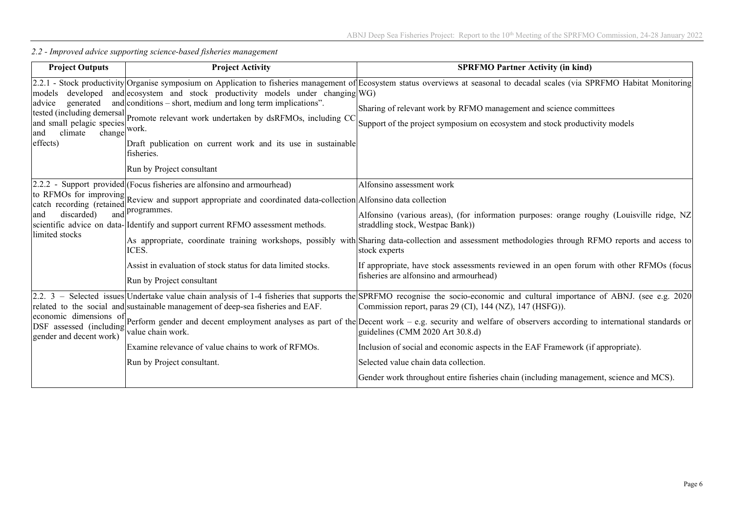| <b>Project Outputs</b>                                                                                          | <b>Project Activity</b>                                                                                                                                                                                                                                                                                                                                                                                    | <b>SPRFMO Partner Activity (in kind)</b>                                                                                                                                                                                                                                                                                                                                                                                                                                                                                                                                                                                                                                                  |
|-----------------------------------------------------------------------------------------------------------------|------------------------------------------------------------------------------------------------------------------------------------------------------------------------------------------------------------------------------------------------------------------------------------------------------------------------------------------------------------------------------------------------------------|-------------------------------------------------------------------------------------------------------------------------------------------------------------------------------------------------------------------------------------------------------------------------------------------------------------------------------------------------------------------------------------------------------------------------------------------------------------------------------------------------------------------------------------------------------------------------------------------------------------------------------------------------------------------------------------------|
| developed<br>models<br>generated<br>advice<br>and small pelagic species<br>climate<br>change<br>and<br>effects) | and ecosystem and stock productivity models under changing WG)<br>and conditions $-$ short, medium and long term implications".<br>tested (including demersal Promote relevant work undertaken by dsRFMOs, including CC<br>work.<br>Draft publication on current work and its use in sustainable<br>fisheries.<br>Run by Project consultant                                                                | 2.2.1 - Stock productivity Organise symposium on Application to fisheries management of Ecosystem status overviews at seasonal to decadal scales (via SPRFMO Habitat Monitoring<br>Sharing of relevant work by RFMO management and science committees<br>Support of the project symposium on ecosystem and stock productivity models                                                                                                                                                                                                                                                                                                                                                      |
| discarded)<br>limited stocks                                                                                    | [2.2.2 - Support provided] (Focus fisheries are alfonsino and armourhead)<br>to RFMOs for improving Review and support appropriate and coordinated data-collection Alfonsino data collection<br>and programmes.<br>scientific advice on data- Identify and support current RFMO assessment methods.<br>ICES.<br>Assist in evaluation of stock status for data limited stocks.<br>Run by Project consultant | Alfonsino assessment work<br>Alfonsino (various areas), (for information purposes: orange roughy (Louisville ridge, NZ<br>straddling stock, Westpac Bank))<br>As appropriate, coordinate training workshops, possibly with Sharing data-collection and assessment methodologies through RFMO reports and access to<br>stock experts<br>If appropriate, have stock assessments reviewed in an open forum with other RFMOs (focus)<br>fisheries are alfonsino and armourhead)                                                                                                                                                                                                               |
| gender and decent work)                                                                                         | related to the social and sustainable management of deep-sea fisheries and EAF.<br>value chain work.<br>Examine relevance of value chains to work of RFMOs.<br>Run by Project consultant.                                                                                                                                                                                                                  | 2.2. 3 – Selected issues Undertake value chain analysis of 1-4 fisheries that supports the SPRFMO recognise the socio-economic and cultural importance of ABNJ. (see e.g. 2020)<br>Commission report, paras 29 (CI), 144 (NZ), 147 (HSFG)).<br>economic dimensions of Perform gender and decent employment analyses as part of the Decent work – e.g. security and welfare of observers according to international standards or<br>guidelines (CMM 2020 Art 30.8.d)<br>Inclusion of social and economic aspects in the EAF Framework (if appropriate).<br>Selected value chain data collection.<br>Gender work throughout entire fisheries chain (including management, science and MCS). |

*2.2 - Improved advice supporting science-based fisheries management*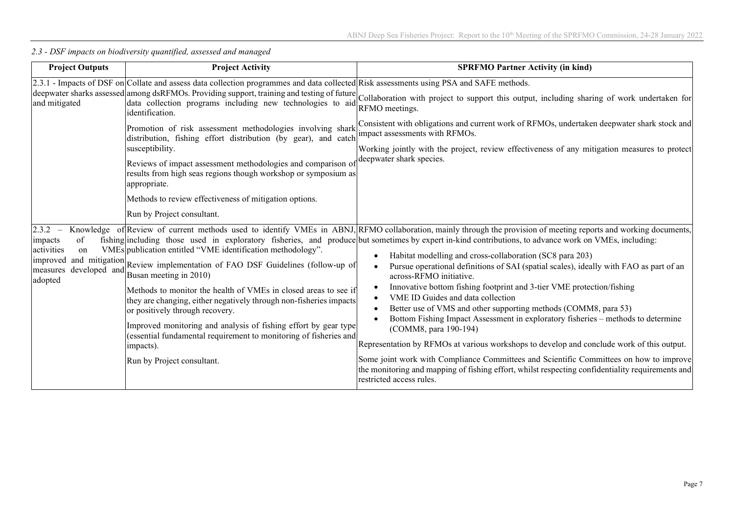| <b>Project Outputs</b>                                                                   | <b>Project Activity</b>                                                                                                                                                                                                                                                                                                                                                                                                                                                                                                                   | <b>SPRFMO Partner Activity (in kind)</b>                                                                                                                                                                                                                                                                                                                                                                                                                                                                                                                                                                                                                                                                                                                                                                                                                                                                                                                                                                                                                                                                                        |
|------------------------------------------------------------------------------------------|-------------------------------------------------------------------------------------------------------------------------------------------------------------------------------------------------------------------------------------------------------------------------------------------------------------------------------------------------------------------------------------------------------------------------------------------------------------------------------------------------------------------------------------------|---------------------------------------------------------------------------------------------------------------------------------------------------------------------------------------------------------------------------------------------------------------------------------------------------------------------------------------------------------------------------------------------------------------------------------------------------------------------------------------------------------------------------------------------------------------------------------------------------------------------------------------------------------------------------------------------------------------------------------------------------------------------------------------------------------------------------------------------------------------------------------------------------------------------------------------------------------------------------------------------------------------------------------------------------------------------------------------------------------------------------------|
| and mitigated                                                                            | 2.3.1 - Impacts of DSF on Collate and assess data collection programmes and data collected Risk assessments using PSA and SAFE methods.<br>identification.<br>distribution, fishing effort distribution (by gear), and catch<br>susceptibility.<br>Reviews of impact assessment methodologies and comparison of<br>results from high seas regions though workshop or symposium as<br>appropriate.<br>Methods to review effectiveness of mitigation options.<br>Run by Project consultant.                                                 | deepwater sharks assessed among dsRFMOs. Providing support, training and testing of future Collaboration with project to support this output, including sharing of work undertaken for deepwater sharks assessed among dsRFMOs<br>RFMO meetings.<br>Promotion of risk assessment methodologies involving shark Consistent with obligations and current work of RFMOs, undertaken deepwater shark stock and<br>impact assessments with RFMOs.<br>Working jointly with the project, review effectiveness of any mitigation measures to protect<br>deepwater shark species.                                                                                                                                                                                                                                                                                                                                                                                                                                                                                                                                                        |
| 2.3.2<br>$\hspace{0.1mm}-\hspace{0.1mm}$<br>of<br>impacts<br>activities<br>on<br>adopted | VMEs publication entitled "VME identification methodology".<br>improved and mitigation Review implementation of FAO DSF Guidelines (follow-up of<br>Busan meeting in 2010)<br>Methods to monitor the health of VMEs in closed areas to see if<br>they are changing, either negatively through non-fisheries impacts<br>or positively through recovery.<br>Improved monitoring and analysis of fishing effort by gear type<br>(essential fundamental requirement to monitoring of fisheries and<br>impacts).<br>Run by Project consultant. | Knowledge of Review of current methods used to identify VMEs in ABNJ, RFMO collaboration, mainly through the provision of meeting reports and working documents,<br>fishing including those used in exploratory fisheries, and produce but sometimes by expert in-kind contributions, to advance work on VMEs, including:<br>Habitat modelling and cross-collaboration (SC8 para 203)<br>Pursue operational definitions of SAI (spatial scales), ideally with FAO as part of an<br>across-RFMO initiative.<br>Innovative bottom fishing footprint and 3-tier VME protection/fishing<br>VME ID Guides and data collection<br>Better use of VMS and other supporting methods (COMM8, para 53)<br>Bottom Fishing Impact Assessment in exploratory fisheries – methods to determine<br>(COMM8, para 190-194)<br>Representation by RFMOs at various workshops to develop and conclude work of this output.<br>Some joint work with Compliance Committees and Scientific Committees on how to improve<br>the monitoring and mapping of fishing effort, whilst respecting confidentiality requirements and<br>restricted access rules. |

*2.3 - DSF impacts on biodiversity quantified, assessed and managed*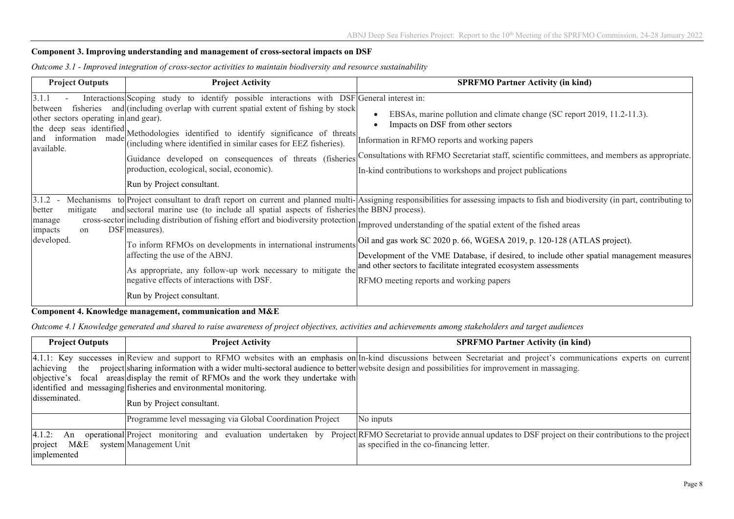#### **Component 3. Improving understanding and management of cross-sectoral impacts on DSF**

| <b>Project Outputs</b>                                                  | <b>Project Activity</b>                                                                                                                                                                                                                                                                                                                                                                                                                                                                                                                    | <b>SPRFMO Partner Activity (in kind)</b>                                                                                                                                                                                                                                                                                                                                                                                                                                 |
|-------------------------------------------------------------------------|--------------------------------------------------------------------------------------------------------------------------------------------------------------------------------------------------------------------------------------------------------------------------------------------------------------------------------------------------------------------------------------------------------------------------------------------------------------------------------------------------------------------------------------------|--------------------------------------------------------------------------------------------------------------------------------------------------------------------------------------------------------------------------------------------------------------------------------------------------------------------------------------------------------------------------------------------------------------------------------------------------------------------------|
| 3.1.1<br>between<br>other sectors operating in and gear).<br>available. | Interactions Scoping study to identify possible interactions with DSF General interest in:<br>fisheries and (including overlap with current spatial extent of fishing by stock<br>the deep seas identified Methodologies identified to identify significance of threats<br>(including where identified in similar cases for EEZ fisheries).<br>production, ecological, social, economic).<br>Run by Project consultant.                                                                                                                    | EBSAs, marine pollution and climate change (SC report 2019, 11.2-11.3).<br>Impacts on DSF from other sectors<br>Information in RFMO reports and working papers<br>Guidance developed on consequences of threats (fisheries Consultations with RFMO Secretariat staff, scientific committees, and members as appropriate.<br>In-kind contributions to workshops and project publications                                                                                  |
| 3.1.2<br>mitigate<br>better<br>manage<br>impacts<br>on<br>developed.    | and sectoral marine use (to include all spatial aspects of fisheries the BBNJ process).<br>end and become means and the cross-sector including distribution of fishing effort and biodiversity protection Improved understanding of the spatial extent of the fished areas<br>DSF measures).<br>To inform RFMOs on developments in international instruments<br>affecting the use of the ABNJ.<br>As appropriate, any follow-up work necessary to mitigate the<br>negative effects of interactions with DSF.<br>Run by Project consultant. | Mechanisms to Project consultant to draft report on current and planned multi-Assigning responsibilities for assessing impacts to fish and biodiversity (in part, contributing to<br>Oil and gas work SC 2020 p. 66, WGESA 2019, p. 120-128 (ATLAS project).<br>Development of the VME Database, if desired, to include other spatial management measures<br>and other sectors to facilitate integrated ecosystem assessments<br>RFMO meeting reports and working papers |

*Outcome 3.1 - Improved integration of cross-sector activities to maintain biodiversity and resource sustainability*

#### **Component 4. Knowledge management, communication and M&E**

*Outcome 4.1 Knowledge generated and shared to raise awareness of project objectives, activities and achievements among stakeholders and target audiences*

| <b>Project Outputs</b>                        | <b>Project Activity</b>                                                                                                                                                                                                                                                                                                            | <b>SPRFMO Partner Activity (in kind)</b>                                                                                                                                                                        |
|-----------------------------------------------|------------------------------------------------------------------------------------------------------------------------------------------------------------------------------------------------------------------------------------------------------------------------------------------------------------------------------------|-----------------------------------------------------------------------------------------------------------------------------------------------------------------------------------------------------------------|
| achieving<br>the<br>disseminated.             | project sharing information with a wider multi-sectoral audience to better website design and possibilities for improvement in massaging.<br>objective's focal areas display the remit of RFMOs and the work they undertake with<br>identified and messaging fisheries and environmental monitoring.<br>Run by Project consultant. | 4.1.1: Key successes in Review and support to RFMO websites with an emphasis on In-kind discussions between Secretariat and project's communications experts on current                                         |
|                                               | Programme level messaging via Global Coordination Project                                                                                                                                                                                                                                                                          | No inputs                                                                                                                                                                                                       |
| 4.1.2:<br>An<br>M&E<br>project<br>implemented | system Management Unit                                                                                                                                                                                                                                                                                                             | operational Project monitoring and evaluation undertaken by Project RFMO Secretariat to provide annual updates to DSF project on their contributions to the project<br>as specified in the co-financing letter. |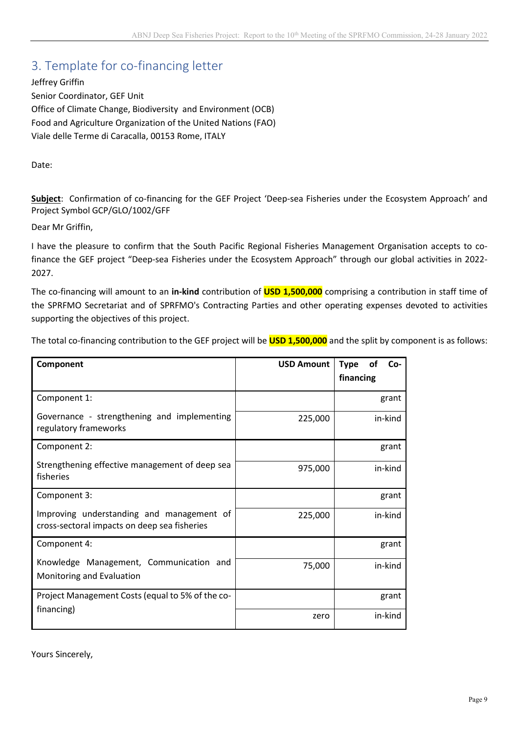## 3. Template for co-financing letter

Jeffrey Griffin Senior Coordinator, GEF Unit Office of Climate Change, Biodiversity and Environment (OCB) Food and Agriculture Organization of the United Nations (FAO) Viale delle Terme di Caracalla, 00153 Rome, ITALY

Date:

**Subject**: Confirmation of co-financing for the GEF Project 'Deep-sea Fisheries under the Ecosystem Approach' and Project Symbol GCP/GLO/1002/GFF

Dear Mr Griffin,

I have the pleasure to confirm that the South Pacific Regional Fisheries Management Organisation accepts to cofinance the GEF project "Deep-sea Fisheries under the Ecosystem Approach" through our global activities in 2022- 2027.

The co-financing will amount to an **in-kind** contribution of **USD 1,500,000** comprising a contribution in staff time of the SPRFMO Secretariat and of SPRFMO's Contracting Parties and other operating expenses devoted to activities supporting the objectives of this project.

The total co-financing contribution to the GEF project will be **USD 1,500,000** and the split by component is as follows:

| Component                                                                                 | <b>USD Amount</b> | <b>of</b><br>$Co-$<br><b>Type</b><br>financing |
|-------------------------------------------------------------------------------------------|-------------------|------------------------------------------------|
| Component 1:                                                                              |                   | grant                                          |
| Governance - strengthening and implementing<br>regulatory frameworks                      | 225,000           | in-kind                                        |
| Component 2:                                                                              |                   | grant                                          |
| Strengthening effective management of deep sea<br>fisheries                               | 975,000           | in-kind                                        |
| Component 3:                                                                              |                   | grant                                          |
| Improving understanding and management of<br>cross-sectoral impacts on deep sea fisheries | 225,000           | in-kind                                        |
| Component 4:                                                                              |                   | grant                                          |
| Knowledge Management, Communication and<br>Monitoring and Evaluation                      | 75,000            | in-kind                                        |
| Project Management Costs (equal to 5% of the co-                                          |                   | grant                                          |
| financing)                                                                                | zero              | in-kind                                        |

Yours Sincerely,